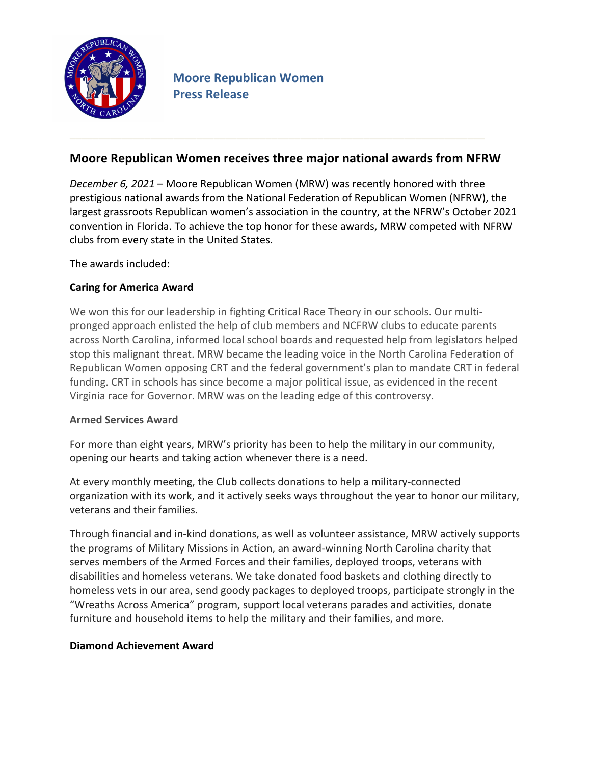

# **Moore Republican Women receives three major national awards from NFRW**

*December 6, 2021* – Moore Republican Women (MRW) was recently honored with three prestigious national awards from the National Federation of Republican Women (NFRW), the largest grassroots Republican women's association in the country, at the NFRW's October 2021 convention in Florida. To achieve the top honor for these awards, MRW competed with NFRW clubs from every state in the United States.

The awards included:

## **Caring for America Award**

We won this for our leadership in fighting Critical Race Theory in our schools. Our multipronged approach enlisted the help of club members and NCFRW clubs to educate parents across North Carolina, informed local school boards and requested help from legislators helped stop this malignant threat. MRW became the leading voice in the North Carolina Federation of Republican Women opposing CRT and the federal government's plan to mandate CRT in federal funding. CRT in schools has since become a major political issue, as evidenced in the recent Virginia race for Governor. MRW was on the leading edge of this controversy.

### **Armed Services Award**

For more than eight years, MRW's priority has been to help the military in our community, opening our hearts and taking action whenever there is a need.

At every monthly meeting, the Club collects donations to help a military-connected organization with its work, and it actively seeks ways throughout the year to honor our military, veterans and their families.

Through financial and in-kind donations, as well as volunteer assistance, MRW actively supports the programs of Military Missions in Action, an award-winning North Carolina charity that serves members of the Armed Forces and their families, deployed troops, veterans with disabilities and homeless veterans. We take donated food baskets and clothing directly to homeless vets in our area, send goody packages to deployed troops, participate strongly in the "Wreaths Across America" program, support local veterans parades and activities, donate furniture and household items to help the military and their families, and more.

### **Diamond Achievement Award**